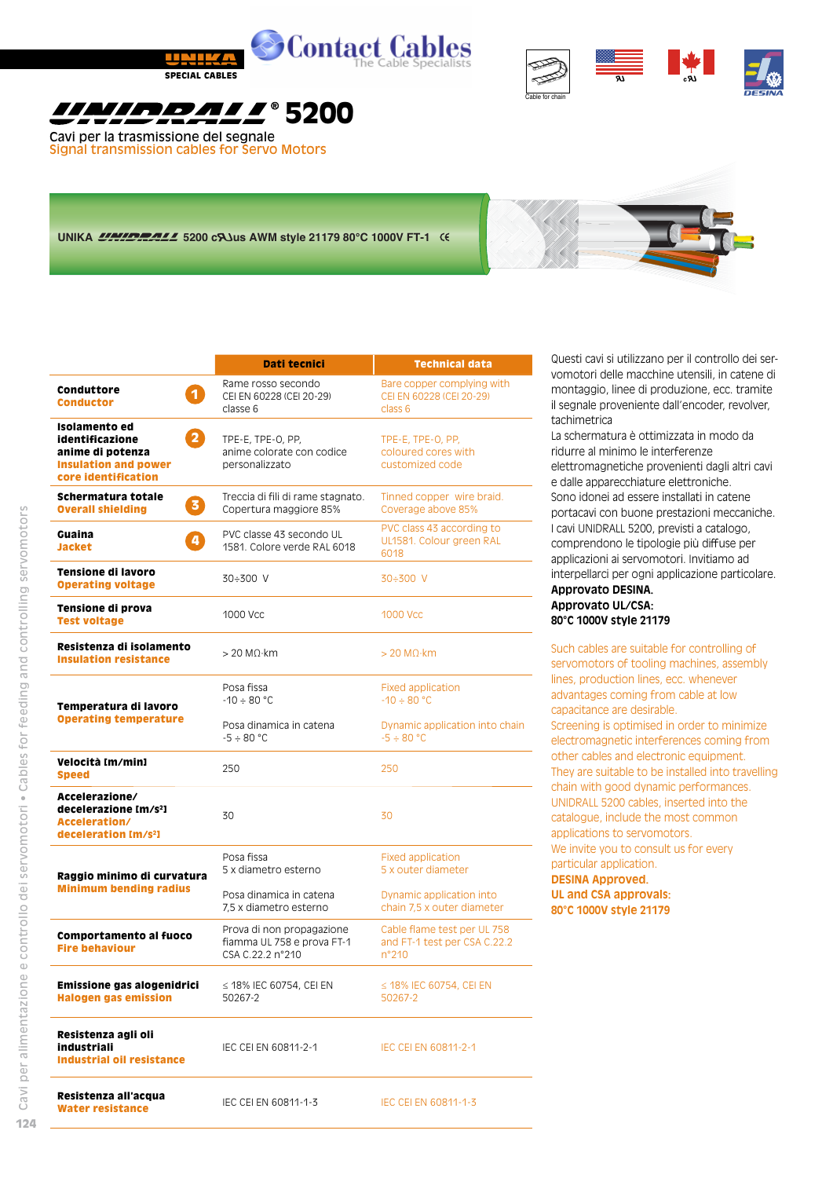



## *<u> УІРОЛІ / 8200</u>*

Cavi per la trasmissione del segnale Signal transmission cables for Servo Motors

## UNIKA **UNICIPALE 5200 CAJUS AWM style 21179 80°C 1000V FT-1** (6)



|                                                                                                                                       | Dati tecnici                                                                                    | <b>Technical data</b>                                                         |  |  |
|---------------------------------------------------------------------------------------------------------------------------------------|-------------------------------------------------------------------------------------------------|-------------------------------------------------------------------------------|--|--|
| Conduttore<br>$\mathbf{1}$<br><b>Conductor</b>                                                                                        | Rame rosso secondo<br>CEI EN 60228 (CEI 20-29)<br>classe 6                                      | Bare copper complying with<br>CEI EN 60228 (CEI 20-29)<br>class 6             |  |  |
| Isolamento ed<br>$\overline{\mathbf{2}}$<br>identificazione<br>anime di potenza<br><b>Insulation and power</b><br>core identification | TPE-E, TPE-O, PP,<br>anime colorate con codice<br>personalizzato                                | TPE-E, TPE-O, PP,<br>coloured cores with<br>customized code                   |  |  |
| Schermatura totale<br>3)<br><b>Overall shielding</b>                                                                                  | Treccia di fili di rame stagnato.<br>Copertura maggiore 85%                                     | Tinned copper wire braid.<br>Coverage above 85%                               |  |  |
| Guaina<br>4<br><b>Jacket</b>                                                                                                          | PVC classe 43 secondo UL<br>1581. Colore verde RAL 6018                                         | PVC class 43 according to<br>UL1581. Colour green RAL<br>6018                 |  |  |
| Tensione di lavoro<br><b>Operating voltage</b>                                                                                        | 30÷300 V                                                                                        | $30 \div 300$ V                                                               |  |  |
| Tensione di prova<br><b>Test voltage</b>                                                                                              | 1000 Vcc                                                                                        | <b>1000 Vcc</b>                                                               |  |  |
| Resistenza di isolamento<br><b>Insulation resistance</b>                                                                              | $> 20$ MO $\cdot$ km                                                                            | $>$ 20 M $\Omega$ ·km                                                         |  |  |
| Temperatura di lavoro                                                                                                                 | Posa fissa<br>$-10 \div 80$ °C                                                                  | <b>Fixed application</b><br>$-10 \div 80$ °C                                  |  |  |
| <b>Operating temperature</b>                                                                                                          | Posa dinamica in catena<br>Dynamic application into chain<br>$-5 \div 80$ °C<br>$-5 \div 80 °C$ |                                                                               |  |  |
| Velocità [m/min]<br><b>Speed</b>                                                                                                      | 250                                                                                             | 250                                                                           |  |  |
| Accelerazione/<br>decelerazione [m/s <sup>2</sup> ]<br>Acceleration/<br>deceleration Im/s <sup>2</sup> ]                              | 30                                                                                              | 30                                                                            |  |  |
| Raggio minimo di curvatura                                                                                                            | Posa fissa<br>5 x diametro esterno                                                              | <b>Fixed application</b><br>5 x outer diameter                                |  |  |
| <b>Minimum bending radius</b>                                                                                                         | Posa dinamica in catena<br>7,5 x diametro esterno                                               | Dynamic application into<br>chain 7,5 x outer diameter                        |  |  |
| Comportamento al fuoco<br><b>Fire behaviour</b>                                                                                       | Prova di non propagazione<br>fiamma UL 758 e prova FT-1<br>CSA C.22.2 n°210                     | Cable flame test per UL 758<br>and FT-1 test per CSA C.22.2<br>$n^{\circ}210$ |  |  |
| Emissione gas alogenidrici<br><b>Halogen gas emission</b>                                                                             | $\leq$ 18% IEC 60754, CEI EN<br>50267-2                                                         | $\leq$ 18% IEC 60754, CEI EN<br>50267-2                                       |  |  |
| Resistenza agli oli<br>industriali<br><b>Industrial oil resistance</b>                                                                | IEC CEI EN 60811-2-1                                                                            | IEC CEI EN 60811-2-1                                                          |  |  |
| Resistenza all'acqua<br><b>Water resistance</b>                                                                                       | IEC CEI EN 60811-1-3                                                                            | IEC CELEN 60811-1-3                                                           |  |  |

Questi cavi si utilizzano per il controllo dei servomotori delle macchine utensili, in catene di montaggio, linee di produzione, ecc. tramite il segnale proveniente dall'encoder, revolver, tachimetrica

La schermatura è ottimizzata in modo da ridurre al minimo le interferenze elettromagnetiche provenienti dagli altri cavi e dalle apparecchiature elettroniche. Sono idonei ad essere installati in catene portacavi con buone prestazioni meccaniche. I cavi UNIDRALL 5200, previsti a catalogo, comprendono le tipologie più diffuse per applicazioni ai servomotori. Invitiamo ad interpellarci per ogni applicazione particolare. **Approvato DESINA. Approvato UL/CSA:**

## **80°C 1000V style 21179**

Such cables are suitable for controlling of servomotors of tooling machines, assembly lines, production lines, ecc. whenever advantages coming from cable at low capacitance are desirable. Screening is optimised in order to minimize electromagnetic interferences coming from other cables and electronic equipment. They are suitable to be installed into travelling chain with good dynamic performances. UNIDRALL 5200 cables, inserted into the catalogue, include the most common applications to servomotors. We invite you to consult us for every particular application.

**DESINA Approved. UL and CSA approvals: 80°C 1000V style 21179**

**124**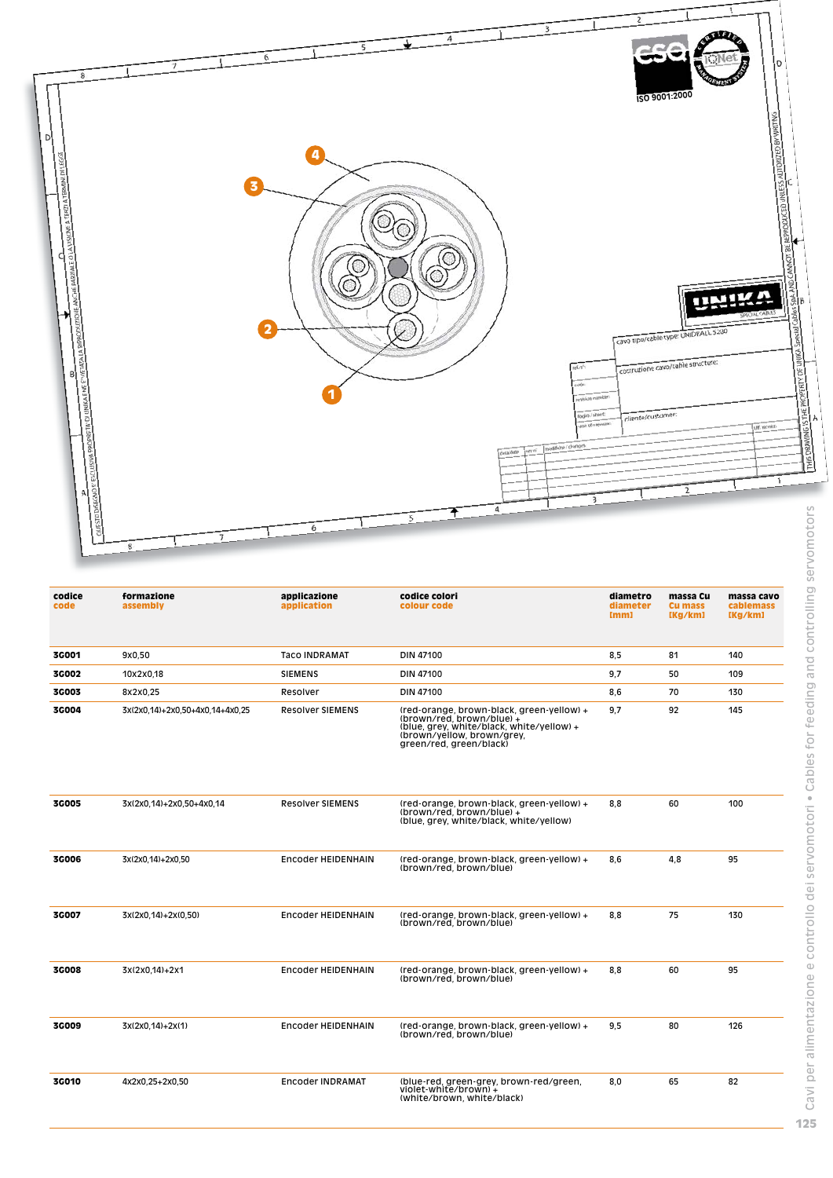

| codice<br>code | formazione<br>assembly          | applicazione<br>application | codice colori<br>colour code                                                                                                                                                 | diametro<br>diameter<br>[mm] | massa Cu<br><b>Cu mass</b><br>[Kg/km] | massa cavo<br><b>cablemass</b><br>[Kg/km] |
|----------------|---------------------------------|-----------------------------|------------------------------------------------------------------------------------------------------------------------------------------------------------------------------|------------------------------|---------------------------------------|-------------------------------------------|
| 3G001          | 9x0,50                          | <b>Taco INDRAMAT</b>        | DIN 47100                                                                                                                                                                    | 8.5                          | 81                                    | 140                                       |
| <b>3C002</b>   | 10x2x0.18                       | <b>SIEMENS</b>              | DIN 47100                                                                                                                                                                    | 9.7                          | 50                                    | 109                                       |
| <b>3G003</b>   | 8x2x0,25                        | Resolver                    | DIN 47100                                                                                                                                                                    | 8.6                          | 70                                    | 130                                       |
| 3G004          | 3x(2x0.14)+2x0.50+4x0.14+4x0.25 | <b>Resolver SIEMENS</b>     | (red-orange, brown-black, green-yellow) +<br>(brown/red, brown/blue) +<br>(blue, grey, white/black, white/yellow) +<br>(brown/yellow, brown/grey,<br>green/red, green/black) | 9.7                          | 92                                    | 145                                       |
| <b>3G005</b>   | 3x(2x0,14)+2x0,50+4x0,14        | <b>Resolver SIEMENS</b>     | (red-orange, brown-black, green-yellow) +<br>(brown/red, brown/blue) +<br>(blue, grey, white/black, white/yellow)                                                            | 8,8                          | 60                                    | 100                                       |
| <b>3G006</b>   | 3x(2x0,14)+2x0,50               | <b>Encoder HEIDENHAIN</b>   | (red-orange, brown-black, green-yellow) +<br>(brown/red. brown/blue)                                                                                                         | 8,6                          | 4,8                                   | 95                                        |
| 3G007          | 3x(2x0,14)+2x(0,50)             | <b>Encoder HEIDENHAIN</b>   | (red-orange, brown-black, green-yellow) +<br>(brown/red, brown/blue)                                                                                                         | 8,8                          | 75                                    | 130                                       |
| <b>3C008</b>   | 3x(2x0,14)+2x1                  | <b>Encoder HEIDENHAIN</b>   | (red-orange, brown-black, green-yellow) +<br>(brown/red, brown/blue)                                                                                                         | 8,8                          | 60                                    | 95                                        |
| <b>3C009</b>   | 3x(2x0,14)+2x(1)                | <b>Encoder HEIDENHAIN</b>   | (red-orange, brown-black, green-yellow) +<br>(brown/red, brown/blue)                                                                                                         | 9.5                          | 80                                    | 126                                       |
| <b>3G010</b>   | 4x2x0,25+2x0,50                 | <b>Encoder INDRAMAT</b>     | (blue-red, green-grey, brown-red/green,<br>violet-white/brown) +<br>(white/brown, white/black)                                                                               | 8,0                          | 65                                    | 82                                        |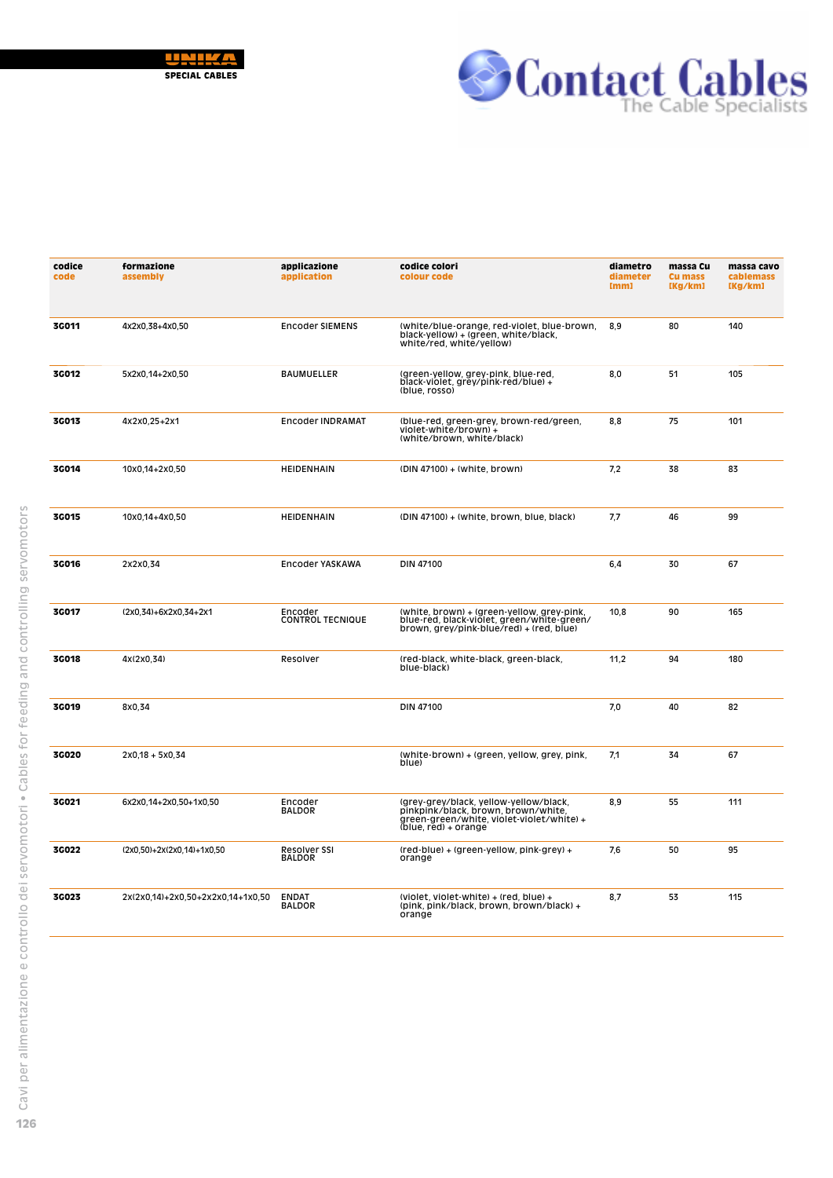



| codice<br>code | formazione<br>assembly            | applicazione<br>application        | codice colori<br>colour code                                                                                                                         | diametro<br>diameter<br>[mm] | massa Cu<br><b>Cu mass</b><br>[Kg/km] | massa cavo<br>cablemass<br>[Kg/km] |
|----------------|-----------------------------------|------------------------------------|------------------------------------------------------------------------------------------------------------------------------------------------------|------------------------------|---------------------------------------|------------------------------------|
| <b>3G011</b>   | 4x2x0,38+4x0,50                   | <b>Encoder SIEMENS</b>             | (white/blue-orange, red-violet, blue-brown,<br>black-yellow) + (green, white/black,<br>white/red, white/yellow)                                      | 8,9                          | 80                                    | 140                                |
| 3G012          | 5x2x0,14+2x0,50                   | <b>BAUMUELLER</b>                  | (green-yellow, grey-pink, blue-red,<br>black-violet, grey/pink-red/blue) +<br>(blue, rosso)                                                          | 8,0                          | 51                                    | 105                                |
| 3G013          | 4x2x0,25+2x1                      | <b>Encoder INDRAMAT</b>            | (blue-red, green-grey, brown-red/green,<br>violet-white/brown) +<br>(white/brown, white/black)                                                       | 8,8                          | 75                                    | 101                                |
| 3C014          | 10x0,14+2x0,50                    | HEIDENHAIN                         | (DIN 47100) + (white, brown)                                                                                                                         | 7,2                          | 38                                    | 83                                 |
| 3G015          | 10x0,14+4x0,50                    | <b>HEIDENHAIN</b>                  | (DIN 47100) + (white, brown, blue, black)                                                                                                            | 7,7                          | 46                                    | 99                                 |
| 3G016          | 2x2x0,34                          | <b>Encoder YASKAWA</b>             | <b>DIN 47100</b>                                                                                                                                     | 6,4                          | 30                                    | 67                                 |
| 3G017          | (2x0,34)+6x2x0,34+2x1             | Encoder<br><b>CONTROL TECNIQUE</b> | (white, brown) + (green-yellow, grey-pink,<br>blue-red, black-violet, green/white-green/<br>brown, grey/pink-blue/red) + (red, blue)                 | 10,8                         | 90                                    | 165                                |
| <b>3G018</b>   | 4x(2x0,34)                        | Resolver                           | (red-black, white-black, green-black,<br>blue-black)                                                                                                 | 11,2                         | 94                                    | 180                                |
| <b>3G019</b>   | 8x0.34                            |                                    | <b>DIN 47100</b>                                                                                                                                     | 7.0                          | 40                                    | 82                                 |
| 3G020          | $2x0,18 + 5x0,34$                 |                                    | (white-brown) + (green, yellow, grey, pink,<br>blue)                                                                                                 | 7,1                          | 34                                    | 67                                 |
| 3G021          | 6x2x0,14+2x0,50+1x0,50            | Encoder<br><b>BALDOR</b>           | (grey-grey/black, yellow-yellow/black,<br>pinkpink/black, brown, brown/white,<br>green-green/white, violet-violet/white) +<br>$(blue, red) + orange$ | 8,9                          | 55                                    | 111                                |
| 3G022          | (2x0,50)+2x(2x0,14)+1x0,50        | Resolver SSI<br><b>BALDOR</b>      | $(\text{red-blue}) + (\text{green-yellow}, \text{pink-grey}) +$<br>orange                                                                            | 7.6                          | 50                                    | 95                                 |
| 3G023          | 2x(2x0,14)+2x0,50+2x2x0,14+1x0,50 | <b>ENDAT</b><br><b>BALDOR</b>      | (violet, violet-white) $+$ (red, blue) $+$<br>(pink, pink/black, brown, brown/black) +<br>orange                                                     | 8,7                          | 53                                    | 115                                |